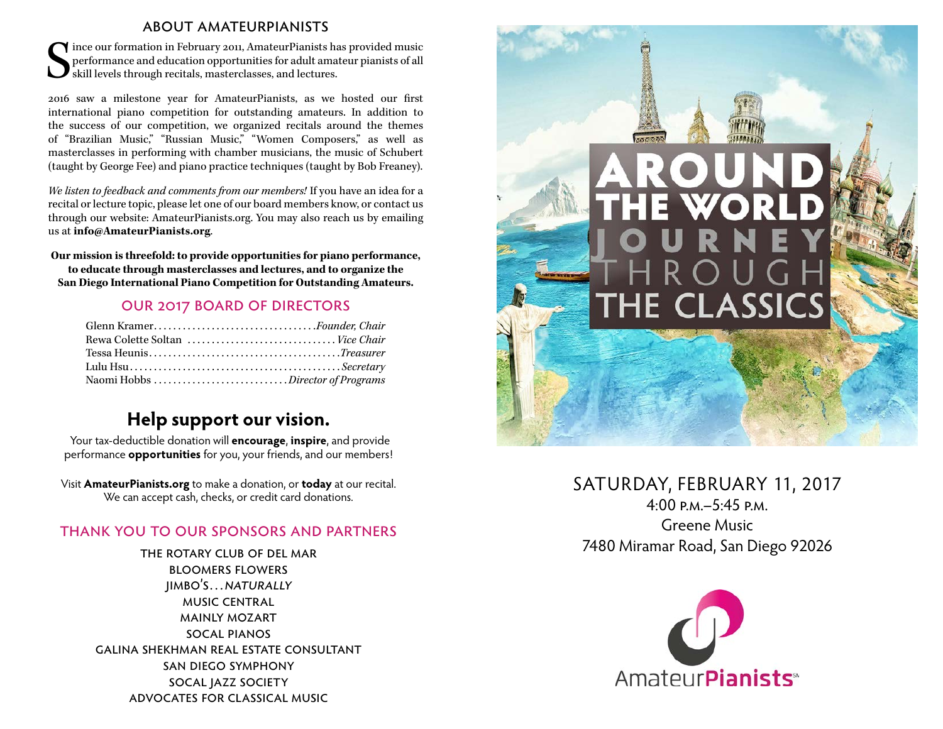#### about amateurpianists

S ince our formation in February 2011, AmateurPianists has provided music performance and education opportunities for adult amateur pianists of all skill levels through recitals, masterclasses, and lectures.

2016 saw a milestone year for AmateurPianists, as we hosted our first international piano competition for outstanding amateurs. In addition to the success of our competition, we organized recitals around the themes of "Brazilian Music," "Russian Music," "Women Composers," as well as masterclasses in performing with chamber musicians, the music of Schubert (taught by George Fee) and piano practice techniques (taught by Bob Freaney).

*We listen to feedback and comments from our members!* If you have an idea for a recital or lecture topic, please let one of our board members know, or contact us through our website: AmateurPianists.org. You may also reach us by emailing us at **info@AmateurPianists.org**.

**Our mission is threefold: to provide opportunities for piano performance, to educate through masterclasses and lectures, and to organize the San Diego International Piano Competition for Outstanding Amateurs.**

#### our 2017 board of directors

| Glenn KramerFounder, Chair       |  |
|----------------------------------|--|
| Rewa Colette Soltan  Vice Chair  |  |
|                                  |  |
|                                  |  |
| Naomi Hobbs Director of Programs |  |

## **Help support our vision.**

Your tax-deductible donation will **encourage**, **inspire**, and provide performance **opportunities** for you, your friends, and our members!

Visit **AmateurPianists.org** to make a donation, or **today** at our recital. We can accept cash, checks, or credit card donations.

#### thank you to our sponsors and partners

the rotary club of del mar bloomers flowers jimbo's…naturally music central mainly mozart socal pianos galina shekhman real estate consultant san diego symphony socal jazz society advocates for classical music



## SATURDAY, FEBRUARY 11, 2017

 $4.00 P_M - 5.45 P_M$ Greene Music 7480 Miramar Road, San Diego 92026